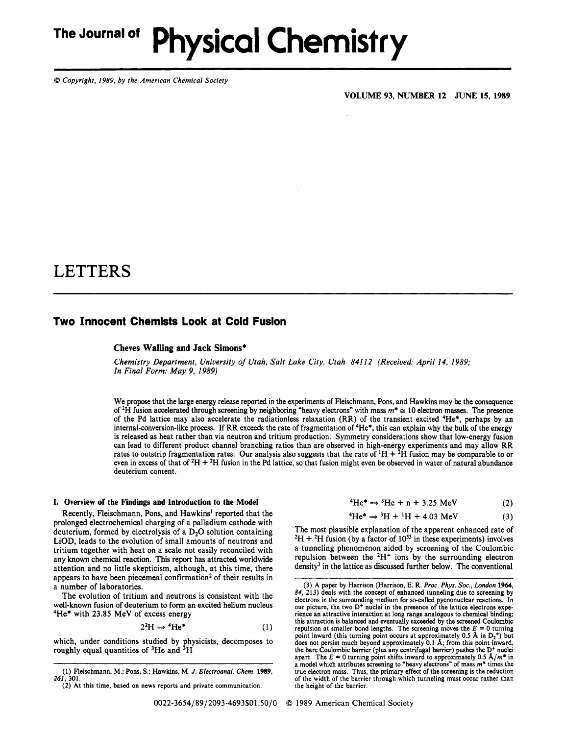# **The Journal of Physical Chemistry**

*0 Copyright, 1989, by the American Chemical Society* 

**VOLUME 93, NUMBER 12 JUNE 15, 1989** 

## LETTERS

### **Two Innocent Chemists Look at Cold Fusion**

#### **Cheves Walling and Jack Simons\***

*Chemistry Department, University of Utah, Salt Lake City, Utah 841 12 (Received: April 14, 1989; In Final Form: May 9, 1989)* 

We propose that the large energy release reported in the experiments of Fleischmann, Pons, and Hawkins may be the consequence of **2H** fusion accelerated through screening by neighboring 'heavy electrons" with mass *m\** = 10 electron masses. The presence of the Pd lattice may also accelerate the radiationless relaxation (RR) of the transient excited 4He\*, perhaps by an internal-conversion-like **process.** If RR exceeds the rate of fragmentation of 4He\*, this can explain why the bulk of the energy is released as heat rather than via neutron and tritium production. Symmetry considerations show that low-energy fusion can lead to different product channel branching ratios than are observed in high-energy experiments and may allow RR rates to outstrip fragmentation rates. Our analysis also suggests that the rate of  ${}^1H + {}^2H$  fusion may be comparable to or even in excess of that of 2H + 2H fusion in the Pd lattice, **so** that fusion might even be observed in water of natural abundance deuterium content.

#### **I. Overview of the Findings and Introduction to the Model**

Recently, Fleischmann, Pons, and Hawkins' reported that the prolonged electrochemical charging of a palladium cathode with deuterium, formed by electrolysis of a D<sub>2</sub>O solution containing LiOD, leads to the evolution of small amounts of neutrons and tritium together with heat on a scale not easily reconciled with any known chemical reaction. This report has attracted worldwide attention and no little skepticism, although, at this time, there appears to have been piecemeal confirmation<sup>2</sup> of their results in a number of laboratories.

The evolution of tritium and neutrons is consistent with the well-known fusion of deuterium to form an excited helium nucleus 4He\* with 23.85 MeV of excess energy

$$
2^2H \Rightarrow {}^4He^*
$$
 (1)

which, under conditions studied by physicists, decomposes to roughly equal quantities of  ${}^{3}$ He and  ${}^{3}$ H

 ${}^{4}He^{*} \Rightarrow {}^{3}He + n + 3.25 \text{ MeV}$  (2)

$$
{}^{4}He^{*} \Rightarrow {}^{3}He + n + 3.25 \text{ MeV} \tag{2}
$$
  

$$
{}^{4}He^{*} \Rightarrow {}^{3}H + {}^{1}H + 4.03 \text{ MeV} \tag{3}
$$

The most plausible explanation of the apparent enhanced rate of  ${}^{2}H + {}^{2}H$  fusion (by a factor of  $10^{53}$  in these experiments) involves a tunneling phenomenon aided by screening of the Coulombic repulsion between the  $2H^+$  ions by the surrounding electron density<sup>3</sup> in the lattice as discussed further below. The conventional

<sup>(1)</sup> Fleischmann, M.; Pons, **S.;** Hawkins, M. *J. Electroanal. Chem.* **1989,**  *261,* 301.

<sup>(2)</sup> At this time, based on news reports and private communication.

<sup>(3)</sup> A paper by Harrison (Harrison, E. **R.** *Proc. Phys. Soc., London* **1964,**  *84,* 213) deals with the concept of enhanced tunneling due to screening by electrons in the surrounding medium for so-called pycnonuclear reactions. In our picture, the two **D+** nuclei in the presence of the lattice electrons experience an attractive interaction at long range analogous to chemical binding; this attraction is balanced and eventually exceeded by the screened Coulombic repulsion at smaller bond lengths. The screening moves the  $E = 0$  turning point inward (this turning point occurs at approximately 0.5 **A** in **D2+)** but does not persist much beyond approximately 0.1 A; from this point inward, the bare Coulombic barrier (plus any centrifugal barrier) pushes the D<sup>+</sup> nuclei apart. The  $E = 0$  turning point shifts inward to approximately 0.5  $\hat{A}/m^*$  in a model which attributes screening to "heavy electrons" of mass  $m^*$  times the true electron mass. Thus, the primary effect of the screening is the reduction of the width of the barrier through which tunneling must occur rather than the height of the barrier.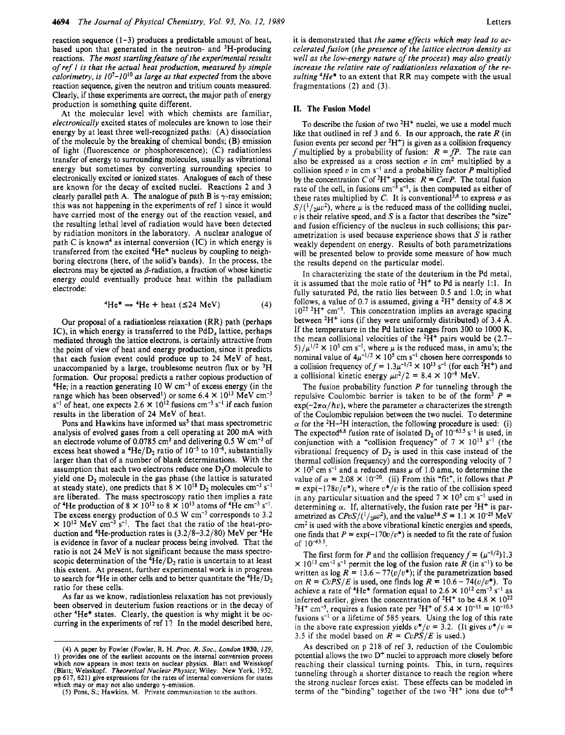reaction sequence  $(1-3)$  produces a predictable amount of heat, based upon that generated in the neutron- and 3H-producing reactions. *The most startling feature of the experimental results of ref 1 is that the actual heat production, measured by simple calorimetry, is*  $10^7 - 10^{10}$  *as large as that expected from the above* reaction sequence, given the neutron and tritium counts measured. Clearly, if these experiments are correct, the major path of energy production is something quite different.

At the molecular level with which chemists are familiar, *electronically* excited states of molecules are known to lose their energy by at least three well-recognized paths: (A) dissociation of the molecule by the breaking of chemical bonds; (B) emission of light (fluorescence or phosphorescence); (C) radiationless transfer of energy to surrounding molecules, usually as vibrational energy but sometimes by converting surrounding species to electronically excited or ionized states. Analogues of each of these are known for the decay of excited nuclei. Reactions 2 and 3 clearly parallel path A. The analogue of path B is  $\gamma$ -ray emission; this was not happening in the experiments of ref 1 since it would have carried most of the energy out of the reaction vessel, and the resulting lethal level of radiation would have been detected by radiation monitors in the laboratory. A nuclear analogue of path C is known<sup>4</sup> as internal conversion  $(IC)$  in which energy is transferred from the excited 4He\* nucleus by coupling to neighboring electrons (here, of the solid's bands). In the process, the electrons may be ejected as  $\beta$ -radiation, a fraction of whose kinetic energy could eventually produce heat within the palladium electrode:

<sup>4</sup>He<sup>\*</sup> 
$$
\Rightarrow
$$
 <sup>4</sup>He + heat ( $\leq 24$  MeV) (4)

Our proposal of a radiationless relaxation (RR) path (perhaps IC), in which energy is transferred to the PdD, lattice, perhaps mediated through the lattice electrons, is certainly attractive from the point of view of heat and energy production, since it predicts that each fusion event could produce up to 24 MeV of heat, unaccompanied by a large, troublesome neutron flux or by  ${}^{3}H$ formation. Our proposal predicts a rather copious production of  $4$ He; in a reaction generating 10 W cm<sup>-3</sup> of excess energy (in the range which has been observed<sup>1</sup>) or some 6.4  $\times$  10<sup>13</sup> MeV cm<sup>-3</sup>  $s^{-1}$  of heat, one expects 2.6  $\times$  10<sup>12</sup> fusions cm<sup>-3</sup> s<sup>-1</sup> if each fusion results in the liberation of 24 MeV of heat.

Pons and Hawkins have informed us<sup>5</sup> that mass spectrometric analysis of evolved gases from a cell operating at 200 mA with an electrode volume of 0.0785 cm<sup>3</sup> and delivering 0.5 W cm<sup>-3</sup> of excess heat showed a  ${}^{4}$ He/D<sub>2</sub> ratio of 10<sup>-5</sup> to 10<sup>-6</sup>, substantially larger than that of a number of blank determinations. With the assumption that each two electrons reduce one  $D_2O$  molecule to yield one  $D_2$  molecule in the gas phase (the lattice is saturated at steady state), one predicts that  $8 \times 10^{18}$  D<sub>2</sub> molecules cm<sup>-3</sup> s<sup>-1</sup> are liberated. The mass spectroscopy ratio then implies a rate of <sup>4</sup>He production of  $8 \times 10^{12}$  to  $8 \times 10^{13}$  atoms of <sup>4</sup>He cm<sup>-3</sup> s<sup>-1</sup>. The excess energy production of 0.5 W  $cm^{-3}$  corresponds to 3.2  $\times$  10<sup>12</sup> MeV cm<sup>-3</sup> s<sup>-1</sup>. The fact that the ratio of the heat-production and 4He-production rates is (3.2/8-3.2/80) MeV per 4He is evidence in favor of a nuclear process being involved. That the ratio is not 24 MeV is not significant because the mass spectroscopic determination of the  ${}^{4}He/D_2$  ratio is uncertain to at least this extent. At present, further experimental work **is** in progress to search for <sup>4</sup>He in other cells and to better quantitate the  ${}^{4}$ He/D<sub>2</sub> ratio for these cells.

As far as we know, radiationless relaxation has not previously been observed in deuterium fusion reactions or in the decay of other 4He\* states. Clearly, the question is why might it be occurring in the experiments of ref l? In the model described here, it is demonstrated that *the same effects which may lead to acwell as the low-energy nature of the process) may also greatly increase the relative rate of radiationless relaxation of the resulting 4He\** to an extent that RR may compete with the usual fragmentations **(2)** and (3).

#### **11. The Fusion Model**

To describe the fusion of two  ${}^{2}H^{+}$  nuclei, we use a model much like that outlined in ref 3 and 6. In our approach, the rate *R* (in fusion events per second per  $^2H^+$ ) is given as a collision frequency *f* multiplied by a probability of fusion:  $R = fP$ . The rate can also be expressed as a cross section  $\sigma$  in cm<sup>2</sup> multiplied by a collision speed  $v$  in cm  $s^{-1}$  and a probability factor  $P$  multiplied by the concentration C of <sup>2</sup>H<sup>+</sup> species:  $R = \dot{C} \sigma v$ . The total fusion rate of the cell, in fusions  $cm^{-3} s^{-1}$ , is then computed as either of these rates multiplied by C. It is conventional<sup>3,6</sup> to express  $\sigma$  as  $S/(^{1}/_{2}\mu v^{2})$ , where  $\mu$  is the reduced mass of the colliding nuclei, *<sup>v</sup>*is their relative speed, and *S* is a factor that describes the "size" and fusion efficiency of the nucleus in such collisions; this parametrization is used because experience shows that *S* is rather weakly dependent on energy. Results of both parametrizations will be presented below to provide some measure of how much the results depend on the particular model.

In characterizing the state of the deuterium in the Pd metal, it is assumed that the mole ratio of **2H+** to Pd is nearly 1:l. In fully saturated Pd, the ratio lies between 0.5 and 1.0; in what follows, a value of 0.7 is assumed, giving a  ${}^{2}H^{+}$  density of 4.8  $\times$  $10^{22}$  <sup>2</sup>H<sup>+</sup> cm<sup>-3</sup>. This concentration implies an average spacing between  ${}^{2}H^{+}$  ions (if they were uniformly distributed) of 3.4 Å. If the temperature in the Pd lattice ranges from 300 to 1000 K, the mean collisional velocities of the  $^2H^+$  pairs would be (2.7-5)/ $\mu^{1/2}$  × 10<sup>5</sup> cm s<sup>-1</sup>, where  $\mu$  is the reduced mass, in amu's; the nominal value of  $4\mu^{-1/2} \times 10^5$  cm s<sup>-1</sup> chosen here corresponds to a collision frequency of  $f = 1.3\mu^{-1/2} \times 10^{13} \text{ s}^{-1}$  (for each <sup>2</sup>H<sup>+</sup>) and a collisional kinetic energy  $\mu v^2/2 = 8.4 \times 10^{-8}$  MeV.

The fusion probability function *P* for tunneling through the repulsive Coulombic barrier is taken to be of the form<sup>3</sup>  $P =$  $\exp(-2\pi\alpha/\hbar v)$ , where the parameter  $\alpha$  characterizes the strength of the Coulombic repulsion between the two nuclei. To determine  $\alpha$  for the <sup>2</sup>H<sup>-2</sup>H interaction, the following procedure is used: (i) The expected<sup>6,8</sup> fusion rate of isolated  $D_2$  of 10<sup>-63.5</sup> s<sup>-1</sup> is used, in conjunction with a "collision frequency" of  $7 \times 10^{13}$  s<sup>-1</sup> (the vibrational frequency of  $D<sub>2</sub>$  is used in this case instead of the thermal collision frequency) and the corresponding velocity of *7*   $\times$  10<sup>5</sup> cm s<sup>-1</sup> and a reduced mass  $\mu$  of 1.0 amu, to determine the value of  $\alpha = 2.08 \times 10^{-20}$ . (ii) From this "fit", it follows that *P*  $= \exp(-178v/v^*)$ , where  $v^*/v$  is the ratio of the collision speed in any particular situation and the speed  $7 \times 10^5$  cm s<sup>-1</sup> used in determining  $\alpha$ . If, alternatively, the fusion rate per <sup>2</sup>H<sup>+</sup> is parametrized as  $CPvS/(1/\mu v^2)$ , and the value<sup>3,6</sup> S = 1.1 × 10<sup>-25</sup> MeV cm<sup>2</sup> is used with the above vibrational kinetic energies and speeds, one finds that  $P = \exp(-170v/v^*)$  is needed to fit the rate of fusion of  $10^{-63.5}$ 

The first form for *P* and the collision frequency  $f = (\mu^{-1/2})1.3$  $\times$  10<sup>13</sup> cm<sup>-3</sup> s<sup>-1</sup> permit the log of the fusion rate *R* (in s<sup>-1</sup>) to be written as  $\log R = 13.6 - 77(v/v^*);$  if the parametrization based on  $R = CvPS/E$  is used, one finds  $log R = 10.6 - 74(v/v^*)$ . To achieve a rate of  ${}^4\text{He}^*$  formation equal to 2.6  $\times$  10<sup>12</sup> cm<sup>-3</sup> s<sup>-1</sup> as inferred earlier, given the concentration of <sup>2</sup>H<sup>+</sup> to be  $4.8 \times 10^{22}$  $^{2}H^{+}$  cm<sup>-3</sup>, requires a fusion rate per <sup>2</sup>H<sup>+</sup> of 5.4  $\times$  10<sup>-11</sup> = 10<sup>-10.3</sup> fusions  $s^{-1}$  or a lifetime of 585 years. Using the log of this rate in the above rate expression yields  $v^*/v = 3.2$ . (It gives  $v^*/v =$ 3.5 if the model based on  $R = CvPS/E$  is used.)

**As** described on p 218 of ref 3, reduction of the Coulombic potential allows the two D<sup>+</sup> nuclei to approach more closely before reaching their classical turning points. This, in turn, requires tunneling through a shorter distance to reach the region where the strong nuclear forces exist. These effects can be modeled in terms of the "binding" together of the two  $^2H^+$  ions due to  $6-8$ 

**<sup>(4)</sup> A paper by Fowler (Fowler, R. H.** *Proc. R. SOC., London* **1930,** *229,*  **1) provides one of the earliest accounts** on **the internal conversion process which now appears in most texts** on **nuclear physics. Blatt and Weisskopf (Blatt; Weisskopf.** *Theoretical Nuclear Physics;* **Wiley: New York, 1952; pp 617, 621) give expressions for the rates** of **internal conversions for states**  which may or may not also undergo  $\gamma$ -emission

**<sup>(5)</sup>** Pons, **S.; Hawkins, M. Private communication to the authors.**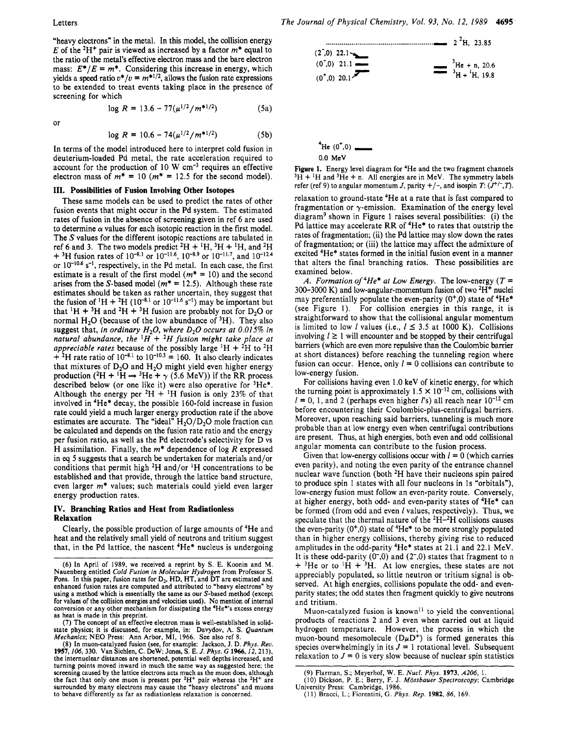"heavy electrons" in the metal, In this model, the collision energy  $E$  of the <sup>2</sup>H<sup>+</sup> pair is viewed as increased by a factor  $m^*$  equal to the ratio of the metal's effective electron **mass** and the bare electron mass:  $E^*/E = m^*$ . Considering this increase in energy, which yields a speed ratio  $v^*/v = m^{*1/2}$ , allows the fusion rate expressions to be extended to treat events taking place in the presence of screening for which

$$
\log R = 13.6 - 77(\mu^{1/2}/m^{*1/2})
$$
 (5a)

or

$$
\log R = 10.6 - 74(\mu^{1/2}/m^{*1/2})
$$
 (5b)

In terms of the model introduced here to interpret cold fusion in deuterium-loaded Pd metal, the rate acceleration required to account for the production of 10 W cm-3 requires an effective electron mass of  $m^* = 10$  ( $m^* = 12.5$  for the second model).

#### **111. Possibilities of Fusion Involving Other Isotopes**

These same models can be used to predict the rates of other fusion events that might occur in the Pd system. The estimated rates of fusion in the absence of screening given in ref 6 are used to determine  $\alpha$  values for each isotopic reaction in the first model. The *S* values for the different isotopic reactions are tabulated in ref 6 and 3. The two models predict  ${}^{2}H + {}^{1}H$ ,  ${}^{3}H + {}^{1}H$ , and  ${}^{2}H$  $+$ <sup>3</sup>H fusion rates of 10<sup>-8.1</sup> or 10<sup>-11.6</sup>, 10<sup>-8.9</sup> or 10<sup>-11.7</sup>, and 10<sup>-12.4</sup> or  $10^{-10.6}$  s<sup>-1</sup>, respectively, in the Pd metal. In each case, the first estimate is a result of the first model  $(m^* = 10)$  and the second arises from the S-based model  $(m^* = 12.5)$ . Although these rate estimates should be taken as rather uncertain, they suggest that the fusion of <sup>1</sup>H + <sup>2</sup>H (10<sup>-8,1</sup> or 10<sup>-11,6</sup> s<sup>-1</sup>) may be important but that  ${}^{1}H + {}^{3}H$  and  ${}^{2}H + {}^{3}H$  fusion are probably not for D<sub>2</sub>O or normal  $H_2O$  (because of the low abundance of  ${}^3H$ ). They also suggest that, *in ordinary HzO, where D20 occurs at 0.015% in natural abundance, the* <sup> $1$ </sup> $\overrightarrow{H}$  + <sup>2</sup>H fusion might take place at *appreciable rates* because of the possibly large <sup>1</sup>H + <sup>2</sup>H to <sup>2</sup>H  $+ {}^{2}H$  rate ratio of  $10^{-8.1}$  to  $10^{-10.3}$  = 160. It also clearly indicates that mixtures of  $D_2O$  and  $H_2O$  might yield even higher energy production  $(^{2}H + ^{1}\text{H} \rightarrow ^{3}\text{He} + \gamma$  (5.6 MeV)) if the RR process described below (or one like it) were also operative for 3He\*. Although the energy per  $^{2}H + ^{1}H$  fusion is only 23% of that involved in 4He\* decay, the possible 160-fold increase in fusion rate could yield a much larger energy production rate if the above estimates are accurate. The "ideal"  $H_2O/D_2O$  mole fraction can be calculated and depends on the fusion rate ratio and the energy per fusion ratio, as well as the Pd electrode's selectivity for D vs H assimilation. Finally, the *m\** dependence of log *R* expressed in *eq* 5 suggests that a search be undertaken for materials and/or conditions that permit high  ${}^{2}H$  and/or  ${}^{1}H$  concentrations to be established and that provide, through the lattice band structure, even larger *m\** values; such materials could yield even larger energy production rates.

#### **IV. Branching Ratios and Heat from Radiationless Relaxation**

Clearly, the possible production of large amounts of 4He and heat and the relatively small yield of neutrons and tritium suggest that, in the Pd lattice, the nascent 4He\* nucleus is undergoing

(7) The concept of an effective electron mass is well-established in solidstate physics; it is discussed, for example, in: Davydov, A. **S.** *Quantum Mechanics;* **NE0** Press: Ann Arbor, MI, 1966. See also ref 8.



| $^4$ He (0 <sup>+</sup> ,0) $\_\_$ |  |
|------------------------------------|--|
| $0.0\,$ MeV                        |  |

Figure **1.** Energy level diagram for **4He** and the two fragment channels  $3H + 1H$  and  $3He + n$ . All energies are in MeV. The symmetry labels refer (ref 9) to angular momentum *J*, parity  $+/-$ , and isospin *T*:  $(J^{+/-}, T)$ .

relaxation to ground-state 4He at a rate that is fast compared to fragmentation or  $\gamma$ -emission. Examination of the energy level diagram<sup>9</sup> shown in Figure 1 raises several possibilities: (i) the Pd lattice may accelerate RR of <sup>4</sup>He<sup>\*</sup> to rates that outstrip the rates of fragmentation; (ii) the Pd lattice may slow down the rates of fragmentation; or (iii) the lattice may affect the admixture of excited 4He\* states formed in the initial fusion event in a manner that alters the final branching ratios. These possibilities are examined below.

*A. Formation of*  ${}^4He^*$  *at Low Energy.* The low-energy ( $T =$  $300-3000$  K) and low-angular-momentum fusion of two  $^{2}H^{+}$  nuclei may preferentially populate the even-parity  $(0^+,0)$  state of  ${}^4He^*$ (see Figure 1). For collision energies in this range, it is straightforward to show that the collisional angular momentum is limited to low *I* values (i.e.,  $l \leq 3.5$  at 1000 K). Collisions involving  $l \geq 1$  will encounter and be stopped by their centrifugal barriers (which are even more repulsive than the Coulombic barrier at short distances) before reaching the tunneling region where fusion can occur. Hence, only  $l = 0$  collisions can contribute to low-energy fusion.

For collisions having even 1 **.O** keV of kinetic energy, for which the turning point is approximately  $1.5 \times 10^{-12}$  cm, collisions with  $l = 0, 1$ , and 2 (perhaps even higher *l's*) all reach near  $10^{-12}$  cm before encountering their Coulombic-plus-centrifugal barriers. Moreover, upon reaching said barriers, tunneling is much more probable than at low energy even when centrifugal contributions are present. Thus, at high energies, both even and odd collisional angular momenta can contribute to the fusion process.

Given that low-energy collisions occur with  $I = 0$  (which carries even parity), and noting the even parity of the entrance channel nuclear wave function (both  ${}^{2}H$  have their nucleons spin paired to produce spin 1 states with all four nucleons in 1s "orbitals"), low-energy fusion must follow an even-parity route. Conversely, at higher energy, both odd- and even-parity states of 4He\* can be formed (from odd and even *I* values, respectively). Thus, we speculate that the thermal nature of the  ${}^{2}H-{}^{2}H$  collisions causes the even-parity  $(0^+,0)$  state of  ${}^4He^*$  to be more strongly populated than in higher energy collisions, thereby giving rise to reduced amplitudes in the odd-parity 4He\* states at 21.1 and 22.1 MeV. It is these odd-parity  $(0,0)$  and  $(2,0)$  states that fragment to n  $+$ <sup>3</sup>He or to <sup>1</sup>H + <sup>3</sup>H. At low energies, these states are not appreciably populated, so little neutron or tritium signal is observed. At high energies, collisions populate the odd- and evenparity states; the odd states then fragment quickly to give neutrons and tritium.

Muon-catalyzed fusion is known<sup>11</sup> to yield the conventional products of reactions 2 and 3 even when carried out at liquid hydrogen temperature. However, the process in which the muon-bound mesomolecule  $(D\mu D^+)$  is formed generates this species overwhelmingly in its  $J = 1$  rotational level. Subsequent relaxation to  $J = 0$  is very slow because of nuclear spin statistics

<sup>(6)</sup> In April of 1989, we received a reprint by S. E. Koonin and M. Nauenberg entitled *Cold Fusion in Molecular Hydrogen* from Professor **S.**  Pons. In this paper, fusion rates for D<sub>2</sub>, HD, HT, and DT are estimated and enhanced fusion rates are computed and attributed to "heavy electrons" by using a method which is essentially the same as our S-based method (except for values of the collision energies and velocities **used).** No mention of internal conversion or any other mechanism for dissipating the 4He\*'s excess energy as heat is made in this preprint.

<sup>(8)</sup> In muon-catalyzed fusion **(see,** for example: Jackson, J. D. Phys. *Rev.*  **1957,** *106, 330.* Van Sichlen, C. **Dew;** Jones, S. E. *J.* Phys. **G 1966,12,213),**  the internuclear distances are shortened, potential well depths increased, and turning points moved inward in much the same way as suggested here; the screening caused by the lattice electrons acts much as the muon does, although the fact that only one muon is present per  ${}^{2}H^{+}$  pair whereas the  ${}^{2}H^{+}$  are surrounded by many electrons may cause the "heavy electrons" and muons to behave differently as far as radiationless relaxation is conc

<sup>(9)</sup> Flarman, **S.;** Meyerhof, W. E. *Nucl. Phys.* **1973, A206, 1. (10)** Dickson, P. E.; Berry, F. J. *Mossbauer Spectroscopy;* Cambridge

**<sup>(1 1)</sup>** Bracci, **L.;** Fiorentini, G. Phys. *Rep.* **1982, 86,** 169. University Press: Cambridge, 1986.